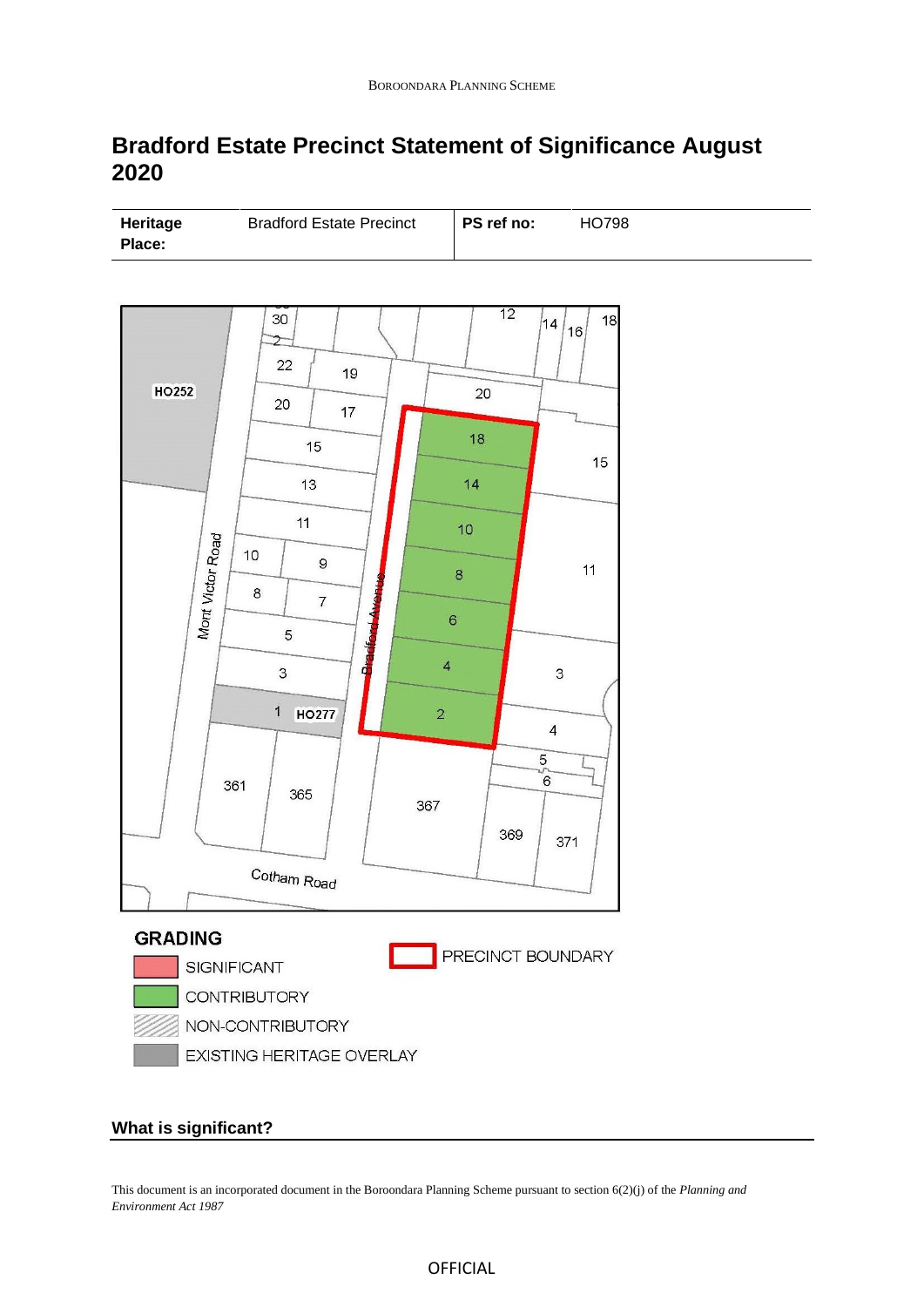# **Bradford Estate Precinct Statement of Significance August 2020**

| Heritage      | <b>Bradford Estate Precinct</b> | PS ref no: | HO798 |
|---------------|---------------------------------|------------|-------|
| <b>Place:</b> |                                 |            |       |



## **What is significant?**

This document is an incorporated document in the Boroondara Planning Scheme pursuant to section 6(2)(j) of the *Planning and Environment Act 1987*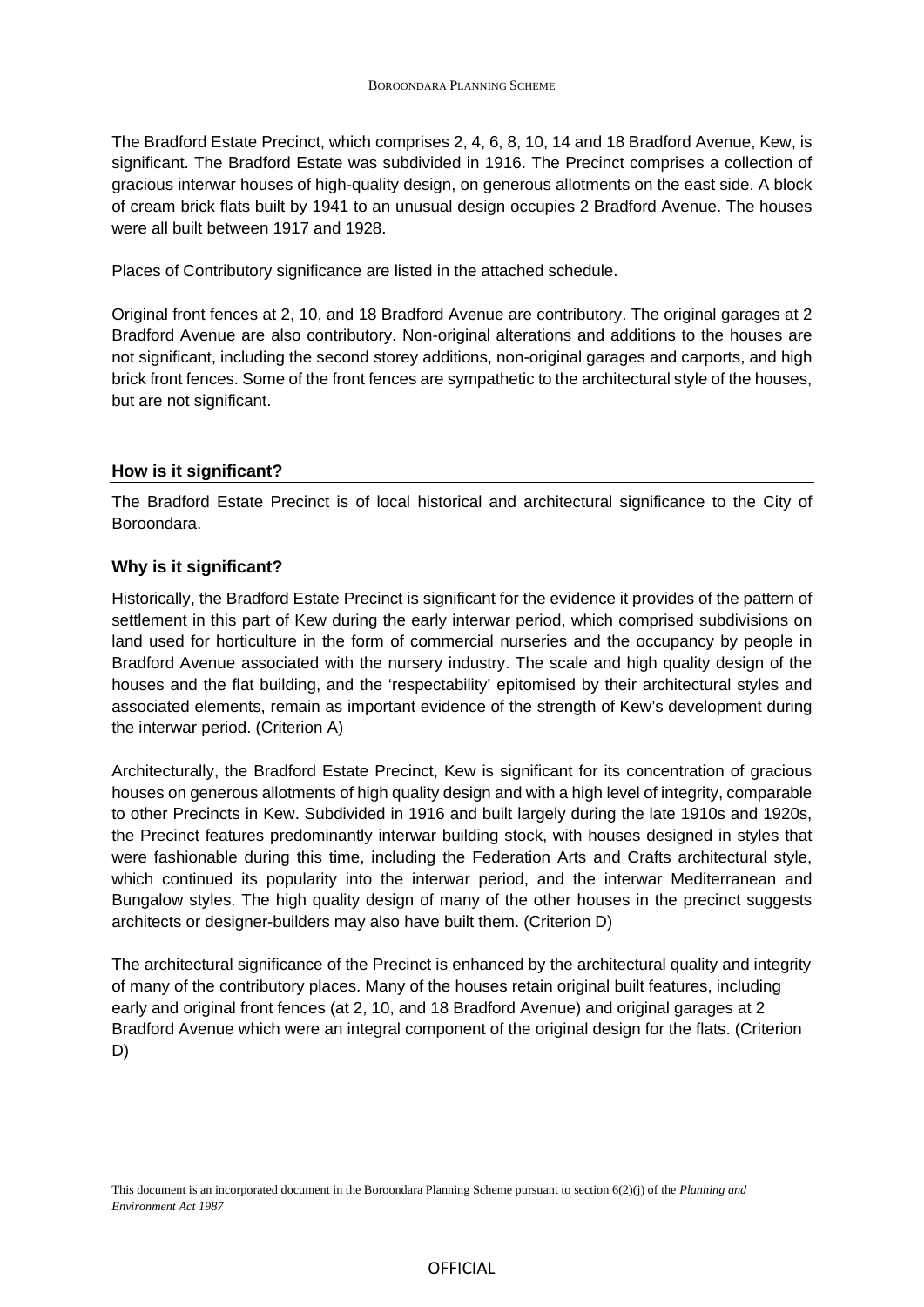The Bradford Estate Precinct, which comprises 2, 4, 6, 8, 10, 14 and 18 Bradford Avenue, Kew, is significant. The Bradford Estate was subdivided in 1916. The Precinct comprises a collection of gracious interwar houses of high-quality design, on generous allotments on the east side. A block of cream brick flats built by 1941 to an unusual design occupies 2 Bradford Avenue. The houses were all built between 1917 and 1928.

Places of Contributory significance are listed in the attached schedule.

Original front fences at 2, 10, and 18 Bradford Avenue are contributory. The original garages at 2 Bradford Avenue are also contributory. Non-original alterations and additions to the houses are not significant, including the second storey additions, non-original garages and carports, and high brick front fences. Some of the front fences are sympathetic to the architectural style of the houses, but are not significant.

### **How is it significant?**

The Bradford Estate Precinct is of local historical and architectural significance to the City of Boroondara.

#### **Why is it significant?**

Historically, the Bradford Estate Precinct is significant for the evidence it provides of the pattern of settlement in this part of Kew during the early interwar period, which comprised subdivisions on land used for horticulture in the form of commercial nurseries and the occupancy by people in Bradford Avenue associated with the nursery industry. The scale and high quality design of the houses and the flat building, and the 'respectability' epitomised by their architectural styles and associated elements, remain as important evidence of the strength of Kew's development during the interwar period. (Criterion A)

Architecturally, the Bradford Estate Precinct, Kew is significant for its concentration of gracious houses on generous allotments of high quality design and with a high level of integrity, comparable to other Precincts in Kew. Subdivided in 1916 and built largely during the late 1910s and 1920s, the Precinct features predominantly interwar building stock, with houses designed in styles that were fashionable during this time, including the Federation Arts and Crafts architectural style, which continued its popularity into the interwar period, and the interwar Mediterranean and Bungalow styles. The high quality design of many of the other houses in the precinct suggests architects or designer-builders may also have built them. (Criterion D)

The architectural significance of the Precinct is enhanced by the architectural quality and integrity of many of the contributory places. Many of the houses retain original built features, including early and original front fences (at 2, 10, and 18 Bradford Avenue) and original garages at 2 Bradford Avenue which were an integral component of the original design for the flats. (Criterion D)

This document is an incorporated document in the Boroondara Planning Scheme pursuant to section 6(2)(j) of the *Planning and Environment Act 1987*